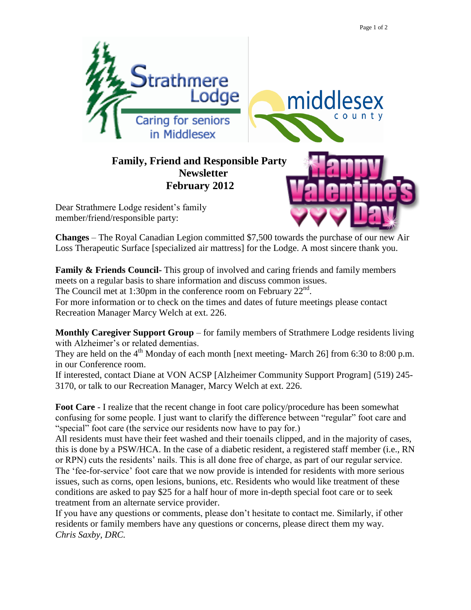

**Changes** – The Royal Canadian Legion committed \$7,500 towards the purchase of our new Air Loss Therapeutic Surface [specialized air mattress] for the Lodge. A most sincere thank you.

**Family & Friends Council-** This group of involved and caring friends and family members meets on a regular basis to share information and discuss common issues.

The Council met at 1:30pm in the conference room on February  $22<sup>nd</sup>$ .

For more information or to check on the times and dates of future meetings please contact Recreation Manager Marcy Welch at ext. 226.

**Monthly Caregiver Support Group** – for family members of Strathmere Lodge residents living with Alzheimer's or related dementias.

They are held on the  $4<sup>th</sup>$  Monday of each month [next meeting- March 26] from 6:30 to 8:00 p.m. in our Conference room.

If interested, contact Diane at VON ACSP [Alzheimer Community Support Program] (519) 245- 3170, or talk to our Recreation Manager, Marcy Welch at ext. 226.

**Foot Care** - I realize that the recent change in foot care policy/procedure has been somewhat confusing for some people. I just want to clarify the difference between "regular" foot care and "special" foot care (the service our residents now have to pay for.)

All residents must have their feet washed and their toenails clipped, and in the majority of cases, this is done by a PSW/HCA. In the case of a diabetic resident, a registered staff member (i.e., RN or RPN) cuts the residents" nails. This is all done free of charge, as part of our regular service. The "fee-for-service" foot care that we now provide is intended for residents with more serious issues, such as corns, open lesions, bunions, etc. Residents who would like treatment of these conditions are asked to pay \$25 for a half hour of more in-depth special foot care or to seek treatment from an alternate service provider.

If you have any questions or comments, please don"t hesitate to contact me. Similarly, if other residents or family members have any questions or concerns, please direct them my way. *Chris Saxby, DRC.*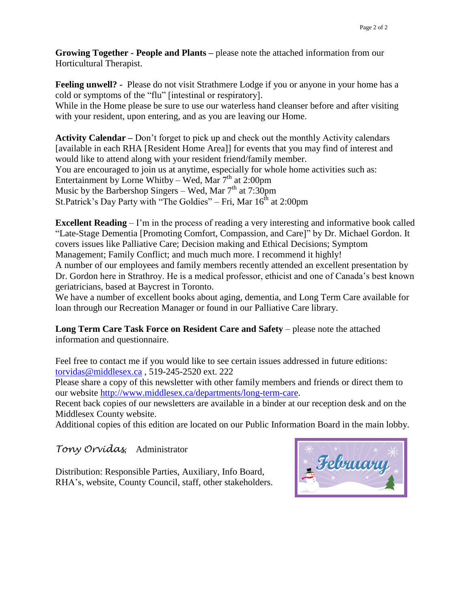**Growing Together - People and Plants –** please note the attached information from our Horticultural Therapist.

**Feeling unwell? -** Please do not visit Strathmere Lodge if you or anyone in your home has a cold or symptoms of the "flu" [intestinal or respiratory].

While in the Home please be sure to use our waterless hand cleanser before and after visiting with your resident, upon entering, and as you are leaving our Home.

**Activity Calendar –** Don"t forget to pick up and check out the monthly Activity calendars [available in each RHA [Resident Home Area]] for events that you may find of interest and would like to attend along with your resident friend/family member. You are encouraged to join us at anytime, especially for whole home activities such as: Entertainment by Lorne Whitby – Wed, Mar  $7<sup>th</sup>$  at 2:00pm Music by the Barbershop Singers – Wed, Mar  $7<sup>th</sup>$  at 7:30pm St.Patrick's Day Party with "The Goldies" – Fri, Mar  $16<sup>th</sup>$  at 2:00pm

**Excellent Reading** – I'm in the process of reading a very interesting and informative book called "Late-Stage Dementia [Promoting Comfort, Compassion, and Care]" by Dr. Michael Gordon. It covers issues like Palliative Care; Decision making and Ethical Decisions; Symptom Management; Family Conflict; and much much more. I recommend it highly!

A number of our employees and family members recently attended an excellent presentation by Dr. Gordon here in Strathroy. He is a medical professor, ethicist and one of Canada"s best known geriatricians, based at Baycrest in Toronto.

We have a number of excellent books about aging, dementia, and Long Term Care available for loan through our Recreation Manager or found in our Palliative Care library.

**Long Term Care Task Force on Resident Care and Safety** – please note the attached information and questionnaire.

Feel free to contact me if you would like to see certain issues addressed in future editions: [torvidas@middlesex.ca](mailto:torvidas@middlesex.ca) , 519-245-2520 ext. 222

Please share a copy of this newsletter with other family members and friends or direct them to our website [http://www.middlesex.ca/departments/long-term-care.](http://www.middlesex.ca/departments/long-term-care)

Recent back copies of our newsletters are available in a binder at our reception desk and on the Middlesex County website.

Additional copies of this edition are located on our Public Information Board in the main lobby.

*Tony Orvidas*, Administrator

Distribution: Responsible Parties, Auxiliary, Info Board, RHA's, website, County Council, staff, other stakeholders.

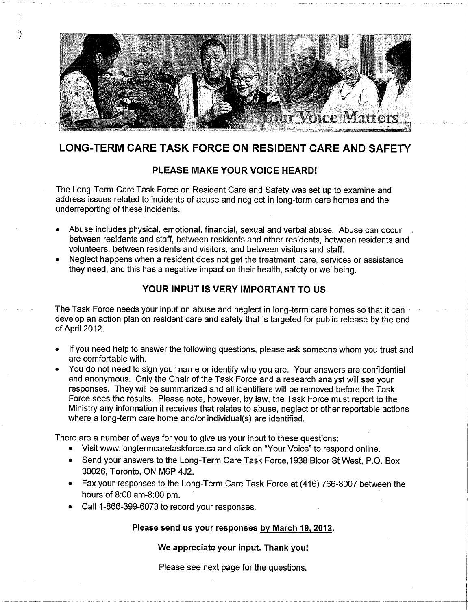

答

# **LONG-TERM CARE TASK FORCE ON RESIDENT CARE AND SAFETY**

## PLEASE MAKE YOUR VOICE HEARD!

The Long-Term Care Task Force on Resident Care and Safety was set up to examine and address issues related to incidents of abuse and neglect in long-term care homes and the underreporting of these incidents.

- Abuse includes physical, emotional, financial, sexual and verbal abuse. Abuse can occur between residents and staff, between residents and other residents, between residents and volunteers, between residents and visitors, and between visitors and staff.
- Neglect happens when a resident does not get the treatment, care, services or assistance they need, and this has a negative impact on their health, safety or wellbeing.

### YOUR INPUT IS VERY IMPORTANT TO US

The Task Force needs your input on abuse and neglect in long-term care homes so that it can develop an action plan on resident care and safety that is targeted for public release by the end of April 2012.

- If you need help to answer the following questions, please ask someone whom you trust and are comfortable with.
- You do not need to sign your name or identify who you are. Your answers are confidential and anonymous. Only the Chair of the Task Force and a research analyst will see your responses. They will be summarized and all identifiers will be removed before the Task Force sees the results. Please note, however, by law, the Task Force must report to the Ministry any information it receives that relates to abuse, neglect or other reportable actions where a long-term care home and/or individual(s) are identified.

There are a number of ways for you to give us your input to these questions:

- Visit www.longtermcaretaskforce.ca and click on "Your Voice" to respond online.
- Send your answers to the Long-Term Care Task Force, 1938 Bloor St West, P.O. Box 30026, Toronto, ON M6P 4J2.
- Fax your responses to the Long-Term Care Task Force at (416) 766-8007 between the hours of 8:00 am-8:00 pm.
- Call 1-866-399-6073 to record your responses.

#### Please send us your responses by March 19, 2012.

We appreciate your input. Thank you!

Please see next page for the questions.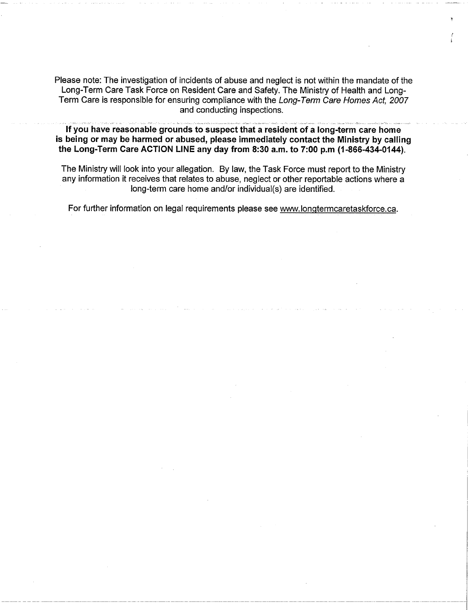Please note: The investigation of incidents of abuse and neglect is not within the mandate of the Long-Term Care Task Force on Resident Care and Safety. The Ministry of Health and Long-Term Care is responsible for ensuring compliance with the Long-Term Care Homes Act, 2007 and conducting inspections.

If you have reasonable grounds to suspect that a resident of a long-term care home is being or may be harmed or abused, please immediately contact the Ministry by calling the Long-Term Care ACTION LINE any day from 8:30 a.m. to 7:00 p.m (1-866-434-0144).

The Ministry will look into your allegation. By law, the Task Force must report to the Ministry any information it receives that relates to abuse, neglect or other reportable actions where a long-term care home and/or individual(s) are identified.

For further information on legal requirements please see www.longtermcaretaskforce.ca.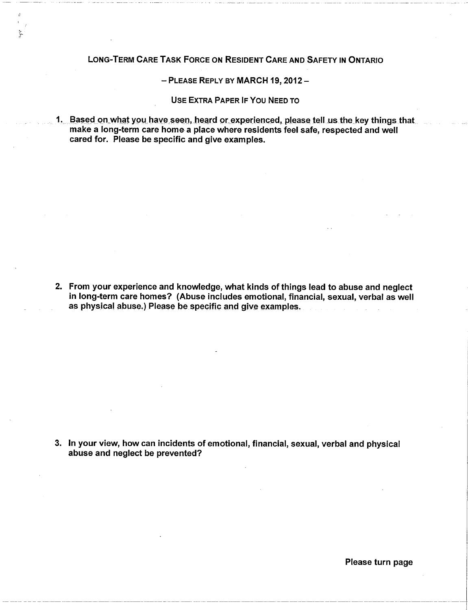LONG-TERM CARE TASK FORCE ON RESIDENT CARE AND SAFETY IN ONTARIO

- PLEASE REPLY BY MARCH 19, 2012 -

USE EXTRA PAPER IF YOU NEED TO

1. Based on what you have seen, heard or experienced, please tell us the key things that make a long-term care home a place where residents feel safe, respected and well cared for. Please be specific and give examples.

2. From your experience and knowledge, what kinds of things lead to abuse and neglect in long-term care homes? (Abuse includes emotional, financial, sexual, verbal as well as physical abuse.) Please be specific and give examples.

3. In your view, how can incidents of emotional, financial, sexual, verbal and physical abuse and neglect be prevented?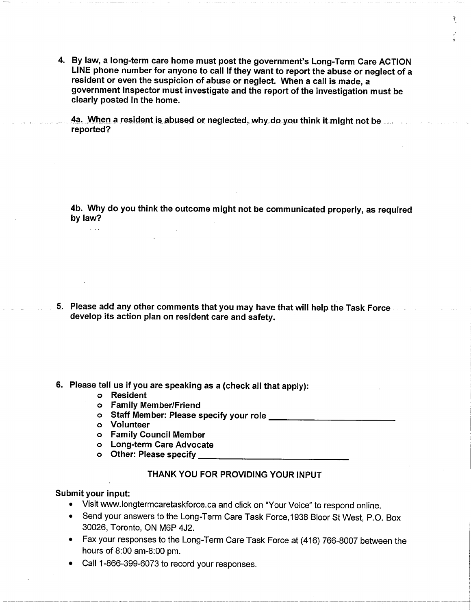4. By law, a long-term care home must post the government's Long-Term Care ACTION LINE phone number for anyone to call if they want to report the abuse or neglect of a resident or even the suspicion of abuse or neglect. When a call is made, a government inspector must investigate and the report of the investigation must be clearly posted in the home.

4a. When a resident is abused or neglected, why do you think it might not be reported?

4b. Why do you think the outcome might not be communicated properly, as required by law?

5. Please add any other comments that you may have that will help the Task Force develop its action plan on resident care and safety.

6. Please tell us if you are speaking as a (check all that apply);

- o Resident
- o Family Member/Friend
- o Staff Member: Please specify your role \_\_\_\_\_\_\_\_
- o Volunteer
- o Family Council Member
- o Long-term Care Advocate
- o Other: Please specify

#### THANK YOU FOR PROVIDING YOUR INPUT

#### Submit your input:

 $\mathbb{R}^2$ 

- Visit www.longtermcaretaskforce.ca and click on "Your Voice" to respond online.
- Send your answers to the Long-Term Care Task Force, 1938 Bloor St West, P.O. Box 30026, Toronto, ON M6P 4J2.
- Fax your responses to the Long-Term Care Task Force at (416) 766-8007 between the hours of 8:00 am-8:00 pm.
- Call 1-866-399-6073 to record your responses.